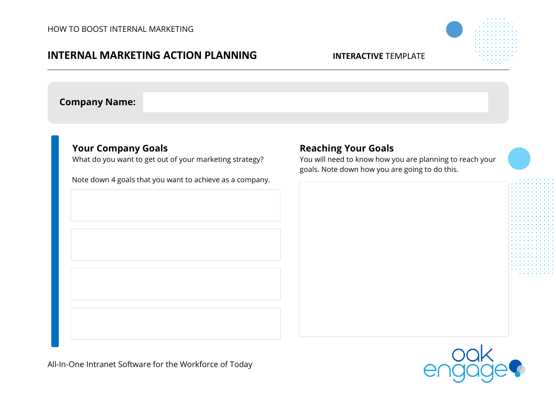## **INTERNAL MARKETING ACTION PLANNING INTERACTIVE** TEMPLATE

**Company Name:**

## **Your Company Goals**

What do you want to get out of your marketing strategy?

Note down 4 goals that you want to achieve as a company.

# **Reaching Your Goals**

You will need to know how you are planning to reach your goals. Note down how you are going to do this.



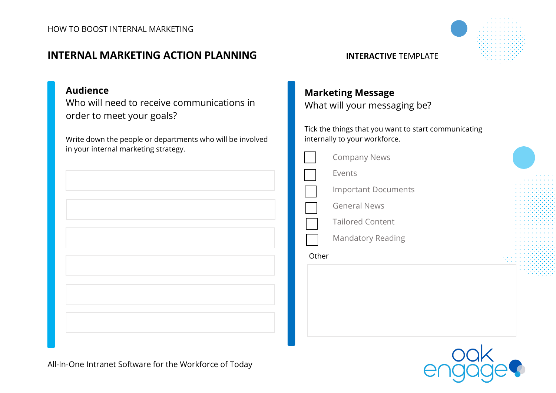# **INTERNAL MARKETING ACTION PLANNING INTERACTIVE** TEMPLATE



## **Audience**

Who will need to receive communications in order to meet your goals?

Write down the people or departments who will be involved in your internal marketing strategy.

# **Marketing Message**

What will your messaging be?

Tick the things that you want to start communicating internally to your workforce.

|       | <b>Company News</b>        |  |
|-------|----------------------------|--|
|       | Events                     |  |
|       | <b>Important Documents</b> |  |
|       | <b>General News</b>        |  |
|       | <b>Tailored Content</b>    |  |
|       | <b>Mandatory Reading</b>   |  |
| Other |                            |  |
|       |                            |  |
|       |                            |  |
|       |                            |  |
|       |                            |  |



All-In-One Intranet Software for the Workforce of Today